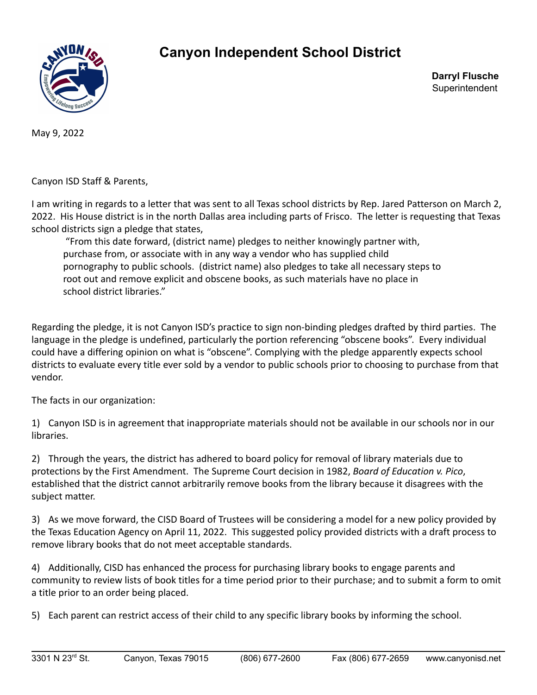

## **Canyon Independent School District**

**Darryl Flusche Superintendent** 

May 9, 2022

Canyon ISD Staff & Parents,

I am writing in regards to a letter that was sent to all Texas school districts by Rep. Jared Patterson on March 2, 2022. His House district is in the north Dallas area including parts of Frisco. The letter is requesting that Texas school districts sign a pledge that states,

"From this date forward, (district name) pledges to neither knowingly partner with, purchase from, or associate with in any way a vendor who has supplied child pornography to public schools. (district name) also pledges to take all necessary steps to root out and remove explicit and obscene books, as such materials have no place in school district libraries."

Regarding the pledge, it is not Canyon ISD's practice to sign non-binding pledges drafted by third parties. The language in the pledge is undefined, particularly the portion referencing "obscene books". Every individual could have a differing opinion on what is "obscene". Complying with the pledge apparently expects school districts to evaluate every title ever sold by a vendor to public schools prior to choosing to purchase from that vendor.

The facts in our organization:

1) Canyon ISD is in agreement that inappropriate materials should not be available in our schools nor in our libraries.

2) Through the years, the district has adhered to board policy for removal of library materials due to protections by the First Amendment. The Supreme Court decision in 1982, *Board of Education v. Pico*, established that the district cannot arbitrarily remove books from the library because it disagrees with the subject matter.

3) As we move forward, the CISD Board of Trustees will be considering a model for a new policy provided by the Texas Education Agency on April 11, 2022. This suggested policy provided districts with a draft process to remove library books that do not meet acceptable standards.

4) Additionally, CISD has enhanced the process for purchasing library books to engage parents and community to review lists of book titles for a time period prior to their purchase; and to submit a form to omit a title prior to an order being placed.

5) Each parent can restrict access of their child to any specific library books by informing the school.